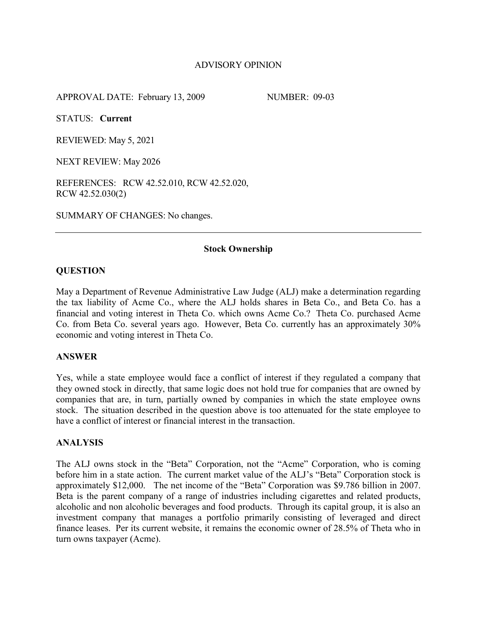# ADVISORY OPINION

APPROVAL DATE: February 13, 2009 NUMBER: 09-03

STATUS: **Current**

REVIEWED: May 5, 2021

NEXT REVIEW: May 2026

REFERENCES: RCW 42.52.010, RCW 42.52.020, RCW 42.52.030(2)

SUMMARY OF CHANGES: No changes.

### **Stock Ownership**

## **QUESTION**

May a Department of Revenue Administrative Law Judge (ALJ) make a determination regarding the tax liability of Acme Co., where the ALJ holds shares in Beta Co., and Beta Co. has a financial and voting interest in Theta Co. which owns Acme Co.? Theta Co. purchased Acme Co. from Beta Co. several years ago. However, Beta Co. currently has an approximately 30% economic and voting interest in Theta Co.

### **ANSWER**

Yes, while a state employee would face a conflict of interest if they regulated a company that they owned stock in directly, that same logic does not hold true for companies that are owned by companies that are, in turn, partially owned by companies in which the state employee owns stock. The situation described in the question above is too attenuated for the state employee to have a conflict of interest or financial interest in the transaction.

### **ANALYSIS**

The ALJ owns stock in the "Beta" Corporation, not the "Acme" Corporation, who is coming before him in a state action. The current market value of the ALJ's "Beta" Corporation stock is approximately \$12,000. The net income of the "Beta" Corporation was \$9.786 billion in 2007. Beta is the parent company of a range of industries including cigarettes and related products, alcoholic and non alcoholic beverages and food products. Through its capital group, it is also an investment company that manages a portfolio primarily consisting of leveraged and direct finance leases. Per its current website, it remains the economic owner of 28.5% of Theta who in turn owns taxpayer (Acme).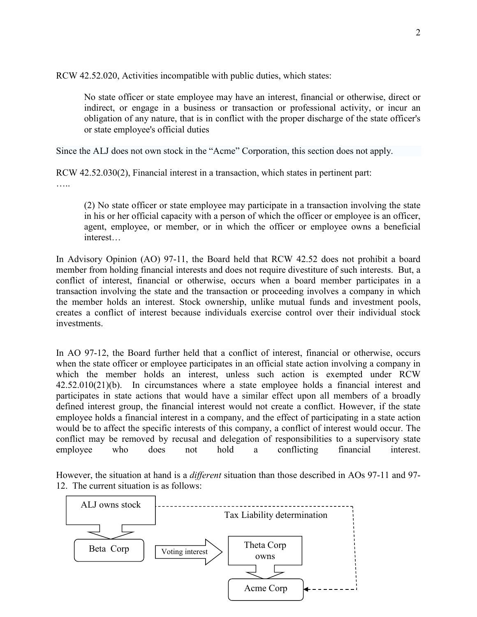RCW 42.52.020, Activities incompatible with public duties, which states:

No state officer or state employee may have an interest, financial or otherwise, direct or indirect, or engage in a business or transaction or professional activity, or incur an obligation of any nature, that is in conflict with the proper discharge of the state officer's or state employee's official duties

Since the ALJ does not own stock in the "Acme" Corporation, this section does not apply.

RCW 42.52.030(2), Financial interest in a transaction, which states in pertinent part: ……

(2) No state officer or state employee may participate in a transaction involving the state in his or her official capacity with a person of which the officer or employee is an officer, agent, employee, or member, or in which the officer or employee owns a beneficial interest…

In Advisory Opinion (AO) 97-11, the Board held that RCW 42.52 does not prohibit a board member from holding financial interests and does not require divestiture of such interests. But, a conflict of interest, financial or otherwise, occurs when a board member participates in a transaction involving the state and the transaction or proceeding involves a company in which the member holds an interest. Stock ownership, unlike mutual funds and investment pools, creates a conflict of interest because individuals exercise control over their individual stock investments.

In AO 97-12, the Board further held that a conflict of interest, financial or otherwise, occurs when the state officer or employee participates in an official state action involving a company in which the member holds an interest, unless such action is exempted under RCW 42.52.010(21)(b). In circumstances where a state employee holds a financial interest and participates in state actions that would have a similar effect upon all members of a broadly defined interest group, the financial interest would not create a conflict. However, if the state employee holds a financial interest in a company, and the effect of participating in a state action would be to affect the specific interests of this company, a conflict of interest would occur. The conflict may be removed by recusal and delegation of responsibilities to a supervisory state employee who does not hold a conflicting financial interest.

However, the situation at hand is a *different* situation than those described in AOs 97-11 and 97- 12. The current situation is as follows: